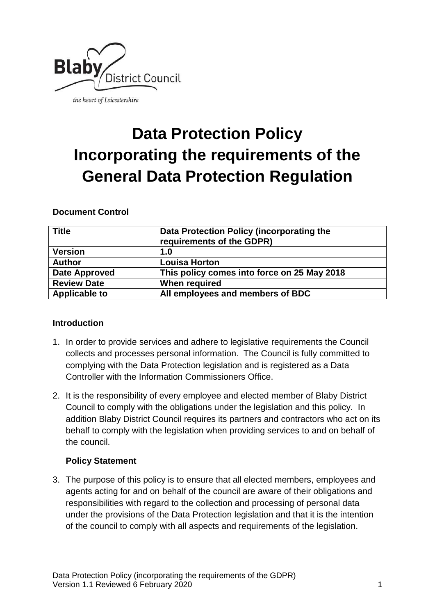

# **Data Protection Policy Incorporating the requirements of the General Data Protection Regulation**

# **Document Control**

| ⊦ Title              | Data Protection Policy (incorporating the<br>requirements of the GDPR) |
|----------------------|------------------------------------------------------------------------|
| <b>Version</b>       | 1.0                                                                    |
| <b>Author</b>        | <b>Louisa Horton</b>                                                   |
| <b>Date Approved</b> | This policy comes into force on 25 May 2018                            |
| <b>Review Date</b>   | When required                                                          |
| <b>Applicable to</b> | All employees and members of BDC                                       |

# **Introduction**

- 1. In order to provide services and adhere to legislative requirements the Council collects and processes personal information. The Council is fully committed to complying with the Data Protection legislation and is registered as a Data Controller with the Information Commissioners Office.
- 2. It is the responsibility of every employee and elected member of Blaby District Council to comply with the obligations under the legislation and this policy. In addition Blaby District Council requires its partners and contractors who act on its behalf to comply with the legislation when providing services to and on behalf of the council.

# **Policy Statement**

3. The purpose of this policy is to ensure that all elected members, employees and agents acting for and on behalf of the council are aware of their obligations and responsibilities with regard to the collection and processing of personal data under the provisions of the Data Protection legislation and that it is the intention of the council to comply with all aspects and requirements of the legislation.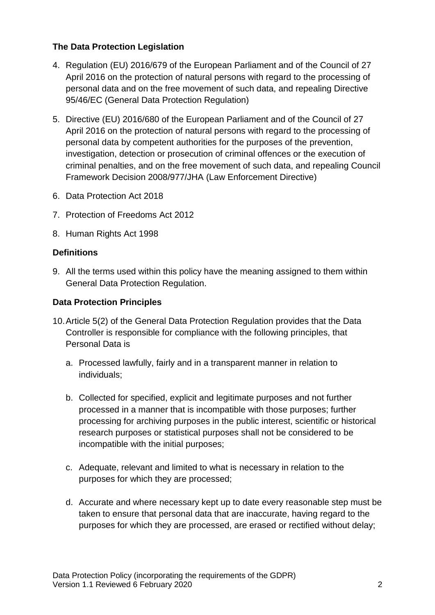# **The Data Protection Legislation**

- 4. Regulation (EU) 2016/679 of the European Parliament and of the Council of 27 April 2016 on the protection of natural persons with regard to the processing of personal data and on the free movement of such data, and repealing Directive 95/46/EC (General Data Protection Regulation)
- 5. Directive (EU) 2016/680 of the European Parliament and of the Council of 27 April 2016 on the protection of natural persons with regard to the processing of personal data by competent authorities for the purposes of the prevention, investigation, detection or prosecution of criminal offences or the execution of criminal penalties, and on the free movement of such data, and repealing Council Framework Decision 2008/977/JHA (Law Enforcement Directive)
- 6. Data Protection Act 2018
- 7. Protection of Freedoms Act 2012
- 8. Human Rights Act 1998

#### **Definitions**

9. All the terms used within this policy have the meaning assigned to them within General Data Protection Regulation.

#### **Data Protection Principles**

- 10.Article 5(2) of the General Data Protection Regulation provides that the Data Controller is responsible for compliance with the following principles, that Personal Data is
	- a. Processed lawfully, fairly and in a transparent manner in relation to individuals;
	- b. Collected for specified, explicit and legitimate purposes and not further processed in a manner that is incompatible with those purposes; further processing for archiving purposes in the public interest, scientific or historical research purposes or statistical purposes shall not be considered to be incompatible with the initial purposes;
	- c. Adequate, relevant and limited to what is necessary in relation to the purposes for which they are processed;
	- d. Accurate and where necessary kept up to date every reasonable step must be taken to ensure that personal data that are inaccurate, having regard to the purposes for which they are processed, are erased or rectified without delay;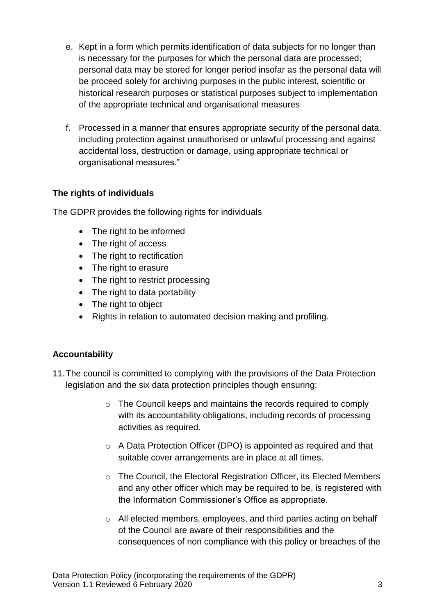- e. Kept in a form which permits identification of data subjects for no longer than is necessary for the purposes for which the personal data are processed; personal data may be stored for longer period insofar as the personal data will be proceed solely for archiving purposes in the public interest, scientific or historical research purposes or statistical purposes subject to implementation of the appropriate technical and organisational measures
- f. Processed in a manner that ensures appropriate security of the personal data, including protection against unauthorised or unlawful processing and against accidental loss, destruction or damage, using appropriate technical or organisational measures."

# **The rights of individuals**

The GDPR provides the following rights for individuals

- The right to be informed
- The right of access
- The right to rectification
- The right to erasure
- The right to restrict processing
- The right to data portability
- The right to object
- Rights in relation to automated decision making and profiling.

# **Accountability**

- 11.The council is committed to complying with the provisions of the Data Protection legislation and the six data protection principles though ensuring:
	- $\circ$  The Council keeps and maintains the records required to comply with its accountability obligations, including records of processing activities as required.
	- o A Data Protection Officer (DPO) is appointed as required and that suitable cover arrangements are in place at all times.
	- o The Council, the Electoral Registration Officer, its Elected Members and any other officer which may be required to be, is registered with the Information Commissioner's Office as appropriate.
	- o All elected members, employees, and third parties acting on behalf of the Council are aware of their responsibilities and the consequences of non compliance with this policy or breaches of the